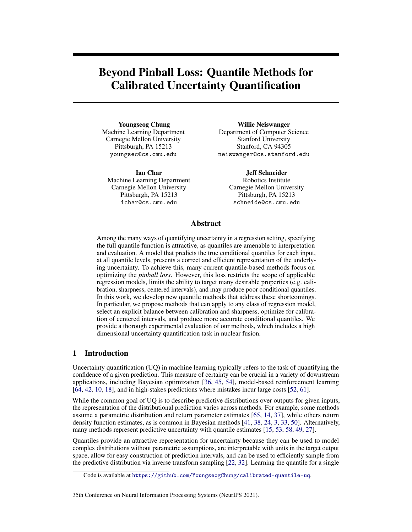# Beyond Pinball Loss: Quantile Methods for Calibrated Uncertainty Quantification

Youngseog Chung Machine Learning Department Carnegie Mellon University Pittsburgh, PA 15213 youngsec@cs.cmu.edu

Ian Char Machine Learning Department Carnegie Mellon University Pittsburgh, PA 15213 ichar@cs.cmu.edu

Willie Neiswanger Department of Computer Science Stanford University Stanford, CA 94305 neiswanger@cs.stanford.edu

> Jeff Schneider Robotics Institute Carnegie Mellon University Pittsburgh, PA 15213 schneide@cs.cmu.edu

# Abstract

Among the many ways of quantifying uncertainty in a regression setting, specifying the full quantile function is attractive, as quantiles are amenable to interpretation and evaluation. A model that predicts the true conditional quantiles for each input, at all quantile levels, presents a correct and efficient representation of the underlying uncertainty. To achieve this, many current quantile-based methods focus on optimizing the *pinball loss*. However, this loss restricts the scope of applicable regression models, limits the ability to target many desirable properties (e.g. calibration, sharpness, centered intervals), and may produce poor conditional quantiles. In this work, we develop new quantile methods that address these shortcomings. In particular, we propose methods that can apply to any class of regression model, select an explicit balance between calibration and sharpness, optimize for calibration of centered intervals, and produce more accurate conditional quantiles. We provide a thorough experimental evaluation of our methods, which includes a high dimensional uncertainty quantification task in nuclear fusion.

## 1 Introduction

Uncertainty quantification (UQ) in machine learning typically refers to the task of quantifying the confidence of a given prediction. This measure of certainty can be crucial in a variety of downstream applications, including Bayesian optimization [\[36,](#page-11-0) [45,](#page-12-0) [54\]](#page-12-1), model-based reinforcement learning [\[64,](#page-13-0) [42,](#page-12-2) [10,](#page-10-0) [18\]](#page-10-1), and in high-stakes predictions where mistakes incur large costs [\[52,](#page-12-3) [61\]](#page-13-1).

While the common goal of UQ is to describe predictive distributions over outputs for given inputs, the representation of the distributional prediction varies across methods. For example, some methods assume a parametric distribution and return parameter estimates [\[65,](#page-13-2) [14,](#page-10-2) [37\]](#page-11-1), while others return density function estimates, as is common in Bayesian methods [\[41,](#page-12-4) [38,](#page-12-5) [24,](#page-11-2) [3,](#page-10-3) [33,](#page-11-3) [50\]](#page-12-6). Alternatively, many methods represent predictive uncertainty with quantile estimates [\[15,](#page-10-4) [53,](#page-12-7) [58,](#page-13-3) [49,](#page-12-8) [27\]](#page-11-4).

Quantiles provide an attractive representation for uncertainty because they can be used to model complex distributions without parametric assumptions, are interpretable with units in the target output space, allow for easy construction of prediction intervals, and can be used to efficiently sample from the predictive distribution via inverse transform sampling [\[22,](#page-11-5) [32\]](#page-11-6). Learning the quantile for a single

#### 35th Conference on Neural Information Processing Systems (NeurIPS 2021).

Code is available at <https://github.com/YoungseogChung/calibrated-quantile-uq>.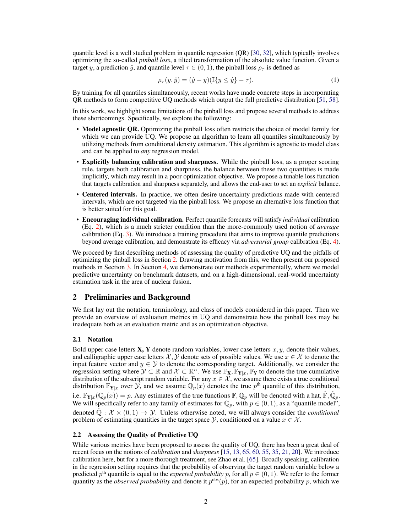quantile level is a well studied problem in quantile regression (QR) [\[30,](#page-11-7) [32\]](#page-11-6), which typically involves optimizing the so-called *pinball loss*, a tilted transformation of the absolute value function. Given a target y, a prediction  $\hat{y}$ , and quantile level  $\tau \in (0, 1)$ , the pinball loss  $\rho_{\tau}$  is defined as

<span id="page-1-1"></span>
$$
\rho_{\tau}(y,\hat{y}) = (\hat{y} - y)(\mathbb{I}\{y \le \hat{y}\} - \tau).
$$
 (1)

By training for all quantiles simultaneously, recent works have made concrete steps in incorporating QR methods to form competitive UQ methods which output the full predictive distribution [\[51,](#page-12-9) [58\]](#page-13-3).

In this work, we highlight some limitations of the pinball loss and propose several methods to address these shortcomings. Specifically, we explore the following:

- Model agnostic QR. Optimizing the pinball loss often restricts the choice of model family for which we can provide UQ. We propose an algorithm to learn all quantiles simultaneously by utilizing methods from conditional density estimation. This algorithm is agnostic to model class and can be applied to *any* regression model.
- Explicitly balancing calibration and sharpness. While the pinball loss, as a proper scoring rule, targets both calibration and sharpness, the balance between these two quantities is made implicitly, which may result in a poor optimization objective. We propose a tunable loss function that targets calibration and sharpness separately, and allows the end-user to set an *explicit* balance.
- Centered intervals. In practice, we often desire uncertainty predictions made with centered intervals, which are not targeted via the pinball loss. We propose an alternative loss function that is better suited for this goal.
- Encouraging individual calibration. Perfect quantile forecasts will satisfy *individual* calibration (Eq. [2\)](#page-2-0), which is a much stricter condition than the more-commonly used notion of *average* calibration (Eq. [3\)](#page-2-1). We introduce a training procedure that aims to improve quantile predictions beyond average calibration, and demonstrate its efficacy via *adversarial group* calibration (Eq. [4\)](#page-2-2).

We proceed by first describing methods of assessing the quality of predictive UQ and the pitfalls of optimizing the pinball loss in Section [2.](#page-1-0) Drawing motivation from this, we then present our proposed methods in Section [3.](#page-3-0) In Section [4,](#page-7-0) we demonstrate our methods experimentally, where we model predictive uncertainty on benchmark datasets, and on a high-dimensional, real-world uncertainty estimation task in the area of nuclear fusion.

## <span id="page-1-0"></span>2 Preliminaries and Background

We first lay out the notation, terminology, and class of models considered in this paper. Then we provide an overview of evaluation metrics in UQ and demonstrate how the pinball loss may be inadequate both as an evaluation metric and as an optimization objective.

#### 2.1 Notation

Bold upper case letters  $X, Y$  denote random variables, lower case letters  $x, y$ , denote their values, and calligraphic upper case letters  $\mathcal{X}, \mathcal{Y}$  denote sets of possible values. We use  $x \in \mathcal{X}$  to denote the input feature vector and  $y \in \mathcal{Y}$  to denote the corresponding target. Additionally, we consider the regression setting where  $\mathcal{Y} \subset \mathbb{R}$  and  $\mathcal{X} \subset \mathbb{R}^n$ . We use  $\mathbb{F}_X, \mathbb{F}_{Y|x}, \mathbb{F}_Y$  to denote the true cumulative distribution of the subscript random variable. For any  $x \in \mathcal{X}$ , we assume there exists a true conditional distribution  $\mathbb{F}_{Y|x}$  over  $\mathcal{Y}$ , and we assume  $\mathbb{Q}_p(x)$  denotes the true  $p^{\text{th}}$  quantile of this distribution, i.e.  $\mathbb{F}_{Y|x}(\mathbb{Q}_p(x)) = p$ . Any estimates of the true functions  $\mathbb{F}, \mathbb{Q}_p$  will be denoted with a hat,  $\hat{\mathbb{F}}, \hat{\mathbb{Q}}_p$ . We will specifically refer to any family of estimates for  $\mathbb{Q}_p$ , with  $p \in (0, 1)$ , as a "quantile model", denoted  $\mathbb{Q}: \mathcal{X} \times (0, 1) \to \mathcal{Y}$ . Unless otherwise noted, we will always consider the *conditional* problem of estimating quantities in the target space  $\mathcal{Y}$ , conditioned on a value  $x \in \mathcal{X}$ .

#### <span id="page-1-2"></span>2.2 Assessing the Quality of Predictive UQ

While various metrics have been proposed to assess the quality of UO, there has been a great deal of recent focus on the notions of *calibration* and *sharpness* [\[15,](#page-10-4) [13,](#page-10-5) [65,](#page-13-2) [60,](#page-13-4) [55,](#page-12-10) [35,](#page-11-8) [21,](#page-11-9) [20\]](#page-11-10). We introduce calibration here, but for a more thorough treatment, see Zhao et al. [\[65\]](#page-13-2). Broadly speaking, calibration in the regression setting requires that the probability of observing the target random variable below a predicted  $p^{\text{th}}$  quantile is equal to the *expected probability* p, for all  $p \in (0, 1)$ . We refer to the former quantity as the *observed probability* and denote it  $p^{obs}(p)$ , for an expected probability p, which we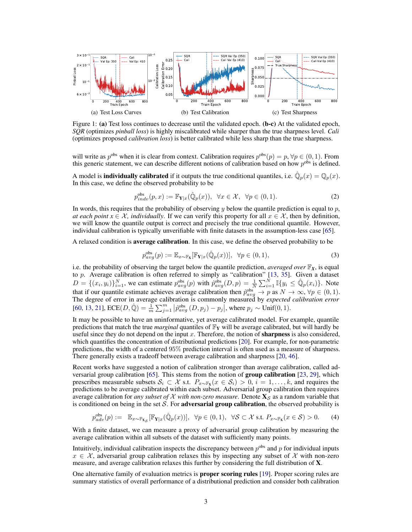

Figure 1: (a) Test loss continues to decrease until the validated epoch. (b-c) At the validated epoch, *SQR* (optimizes *pinball loss*) is highly miscalibrated while sharper than the true sharpness level. *Cali* (optimizes proposed *calibration loss*) is better calibrated while less sharp than the true sharpness.

will write as  $p^{\text{obs}}$  when it is clear from context. Calibration requires  $p^{\text{obs}}(p) = p$ ,  $\forall p \in (0, 1)$ . From this generic statement, we can describe different notions of calibration based on how  $p^{obs}$  is defined.

A model is **individually calibrated** if it outputs the true conditional quantiles, i.e.  $\hat{\mathbb{Q}}_p(x) = \mathbb{Q}_p(x)$ . In this case, we define the observed probability to be

<span id="page-2-3"></span><span id="page-2-0"></span>
$$
p_{indv}^{\text{obs}}(p,x) := \mathbb{F}_{\mathbf{Y}|x}(\hat{\mathbb{Q}}_p(x)), \ \ \forall x \in \mathcal{X}, \ \ \forall p \in (0,1).
$$
 (2)

In words, this requires that the probability of observing y below the quantile prediction is equal to p, *at each point*  $x \in \mathcal{X}$ , *individually*. If we can verify this property for all  $x \in \mathcal{X}$ , then by definition, we will know the quantile output is correct and precisely the true conditional quantile. However, individual calibration is typically unverifiable with finite datasets in the assumption-less case [\[65\]](#page-13-2).

A relaxed condition is average calibration. In this case, we define the observed probability to be

<span id="page-2-1"></span>
$$
p_{avg}^{obs}(p) := \mathbb{E}_{x \sim \mathbb{F}_X}[\mathbb{F}_{Y|x}(\hat{\mathbb{Q}}_p(x))], \ \ \forall p \in (0,1), \tag{3}
$$

i.e. the probability of observing the target below the quantile prediction, *averaged over*  $\mathbb{F}_X$ , is equal to  $p$ . Average calibration is often referred to simply as "calibration" [\[13,](#page-10-5) [35\]](#page-11-8). Given a dataset  $D = \{(x_i, y_i)\}_{i=1}^N$ , we can estimate  $p_{avg}^{obs}(p)$  with  $\hat{p}_{avg}^{obs}(D, p) = \frac{1}{N} \sum_{i=1}^N \mathbb{I}\{y_i \leq \hat{\mathbb{Q}}_p(x_i)\}\$ . Note that if our quantile estimate achieves average calibration then  $\hat{p}_{avg}^{obs} \to p$  as  $N \to \infty$ ,  $\forall p \in (0, 1)$ .<br>The degree of error in average calibration is commonly measured by *expected calibration error* [\[60,](#page-13-4) [13,](#page-10-5) [21\]](#page-11-9),  $\text{ECE}(D, \hat{\mathbb{Q}}) = \frac{1}{m} \sum_{j=1}^{m} |\hat{p}_{avg}^{\text{obs}}(D, p_j) - p_j|$ , where  $p_j \sim \text{Unif}(0, 1)$ .

It may be possible to have an uninformative, yet average calibrated model. For example, quantile predictions that match the true *marginal* quantiles of  $\mathbb{F}_Y$  will be average calibrated, but will hardly be useful since they do not depend on the input  $x$ . Therefore, the notion of **sharpness** is also considered, which quantifies the concentration of distributional predictions [\[20\]](#page-11-10). For example, for non-parametric predictions, the width of a centered 95% prediction interval is often used as a measure of sharpness. There generally exists a tradeoff between average calibration and sharpness [\[20,](#page-11-10) [46\]](#page-12-11).

Recent works have suggested a notion of calibration stronger than average calibration, called ad-versarial group calibration [\[65\]](#page-13-2). This stems from the notion of **group calibration** [\[23,](#page-11-11) [29\]](#page-11-12), which prescribes measurable subsets  $S_i \subset \mathcal{X}$  s.t.  $P_{x \sim \mathbb{F}_X}(x \in S_i) > 0$ ,  $i = 1, \ldots, k$ , and requires the predictions to be average calibrated within each subset. Adversarial group calibration then requires average calibration for *any subset of* X *with non-zero measure*. Denote  $X_s$  as a random variable that is conditioned on being in the set  $S$ . For **adversarial group calibration**, the observed probability is

<span id="page-2-2"></span>
$$
p_{adv}^{obs}(p) := \mathbb{E}_{x \sim \mathbb{F}_{\mathbf{X}_{\mathcal{S}}} } [\mathbb{F}_{\mathbf{Y}|x}(\hat{\mathbb{Q}}_p(x))], \ \ \forall p \in (0, 1), \ \ \forall \mathcal{S} \subset \mathcal{X} \text{ s.t. } P_{x \sim \mathbb{F}_{\mathbf{X}}}(x \in \mathcal{S}) > 0. \tag{4}
$$

With a finite dataset, we can measure a proxy of adversarial group calibration by measuring the average calibration within all subsets of the dataset with sufficiently many points.

Intuitively, individual calibration inspects the discrepancy between  $p^{obs}$  and  $p$  for individual inputs  $x \in \mathcal{X}$ , adversarial group calibration relaxes this by inspecting any subset of X with non-zero measure, and average calibration relaxes this further by considering the full distribution of X.

One alternative family of evaluation metrics is **proper scoring rules** [\[19\]](#page-11-13). Proper scoring rules are summary statistics of overall performance of a distributional prediction and consider both calibration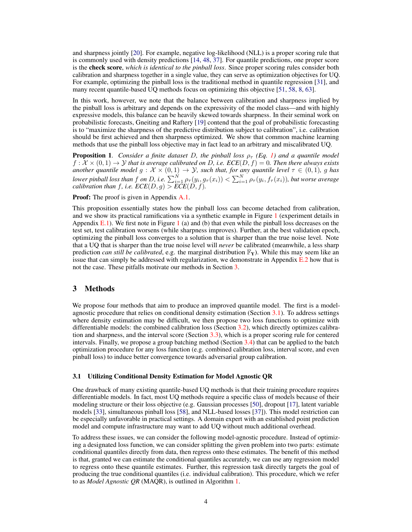and sharpness jointly [\[20\]](#page-11-10). For example, negative log-likelihood (NLL) is a proper scoring rule that is commonly used with density predictions [\[14,](#page-10-2) [48,](#page-12-12) [37\]](#page-11-1). For quantile predictions, one proper score is the check score, *which is identical to the pinball loss*. Since proper scoring rules consider both calibration and sharpness together in a single value, they can serve as optimization objectives for UQ. For example, optimizing the pinball loss is the traditional method in quantile regression [\[31\]](#page-11-14), and many recent quantile-based UQ methods focus on optimizing this objective [\[51,](#page-12-9) [58,](#page-13-3) [8,](#page-10-6) [63\]](#page-13-5).

In this work, however, we note that the balance between calibration and sharpness implied by the pinball loss is arbitrary and depends on the expressivity of the model class—and with highly expressive models, this balance can be heavily skewed towards sharpness. In their seminal work on probabilistic forecasts, Gneiting and Raftery [\[19\]](#page-11-13) contend that the goal of probabilistic forecasting is to "maximize the sharpness of the predictive distribution subject to calibration", i.e. calibration should be first achieved and then sharpness optimized. We show that common machine learning methods that use the pinball loss objective may in fact lead to an arbitrary and miscalibrated UQ.

**Proposition 1.** *Consider a finite dataset D, the pinball loss*  $\rho_{\tau}$  *(Eq. [1\)](#page-1-1) and a quantile model*  $f: \mathcal{X} \times (0, 1) \rightarrow \mathcal{Y}$  *that is average calibrated on D, i.e.*  $ECE(D, f) = 0$ *. Then there always exists another quantile model*  $g: \mathcal{X} \times (0,1) \to \mathcal{Y}$ *, such that, for any quantile level*  $\tau \in (0,1)$ *, g has* lower pinball loss than  $f$  on  $D$ , i.e.  $\sum_{i=1}^N \rho_\tau(y_i,g_\tau(x_i)) < \sum_{i=1}^N \rho_\tau(y_i,f_\tau(x_i))$ , but worse average *calibration than*  $f$ *, i.e.*  $\mathit{ECE}(D, g) > \mathit{ECE}(D, f)$ *.* 

Proof: The proof is given in Appendix A.1.

This proposition essentially states how the pinball loss can become detached from calibration, and we show its practical ramifications via a synthetic example in Figure [1](#page-2-3) (experiment details in Appendix E.[1](#page-2-3)). We first note in Figure 1 (a) and (b) that even while the pinball loss decreases on the test set, test calibration worsens (while sharpness improves). Further, at the best validation epoch, optimizing the pinball loss converges to a solution that is sharper than the true noise level. Note that a UQ that is sharper than the true noise level will *never* be calibrated (meanwhile, a less sharp prediction *can still be calibrated*, e.g. the marginal distribution  $\mathbb{F}_{Y}$ ). While this may seem like an issue that can simply be addressed with regularization, we demonstrate in Appendix E.2 how that is not the case. These pitfalls motivate our methods in Section [3.](#page-3-0)

## <span id="page-3-0"></span>3 Methods

We propose four methods that aim to produce an improved quantile model. The first is a modelagnostic procedure that relies on conditional density estimation (Section [3.1\)](#page-3-1). To address settings where density estimation may be difficult, we then propose two loss functions to optimize with differentiable models: the combined calibration loss (Section [3.2\)](#page-4-0), which directly optimizes calibration and sharpness, and the interval score (Section [3.3\)](#page-6-0), which is a proper scoring rule for centered intervals. Finally, we propose a group batching method (Section [3.4\)](#page-6-1) that can be applied to the batch optimization procedure for any loss function (e.g. combined calibration loss, interval score, and even pinball loss) to induce better convergence towards adversarial group calibration.

#### <span id="page-3-1"></span>3.1 Utilizing Conditional Density Estimation for Model Agnostic QR

One drawback of many existing quantile-based UQ methods is that their training procedure requires differentiable models. In fact, most UQ methods require a specific class of models because of their modeling structure or their loss objective (e.g. Gaussian processes [\[50\]](#page-12-6), dropout [\[17\]](#page-10-7), latent variable models [\[33\]](#page-11-3), simultaneous pinball loss [\[58\]](#page-13-3), and NLL-based losses [\[37\]](#page-11-1)). This model restriction can be especially unfavorable in practical settings. A domain expert with an established point prediction model and compute infrastructure may want to add UQ without much additional overhead.

To address these issues, we can consider the following model-agnostic procedure. Instead of optimizing a designated loss function, we can consider splitting the given problem into two parts: estimate conditional quantiles directly from data, then regress onto these estimates. The benefit of this method is that, granted we can estimate the conditional quantiles accurately, we can use any regression model to regress onto these quantile estimates. Further, this regression task directly targets the goal of producing the true conditional quantiles (i.e. individual calibration). This procedure, which we refer to as *Model Agnostic QR* (MAQR), is outlined in Algorithm [1.](#page-4-1)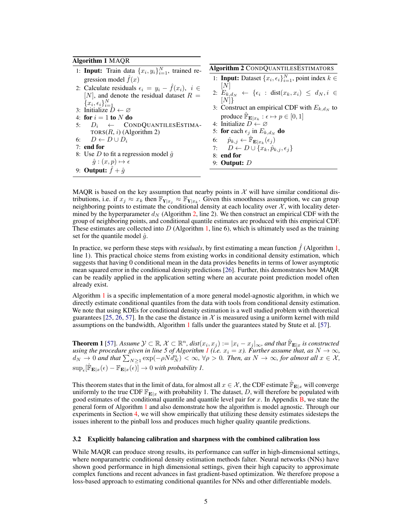#### Algorithm 1 MAQR

- <span id="page-4-1"></span>1: **Input:** Train data  $\{x_i, y_i\}_{i=1}^N$ , trained regression model  $f(x)$
- 2: Calculate residuals  $\epsilon_i = y_i \hat{f}(x_i), i \in$ [N], and denote the residual dataset  $R =$  ${x_i, \epsilon_i}_{i=1}^N$
- 3: Initialize  $\bar{D} \leftarrow \varnothing$
- 4: for  $i = 1$  to  $N$  do
- 5:  $D_i \leftarrow \text{CONDQUANTILESESTIMA}$ TORS $(R, i)$  (Algorithm 2) 6:  $D \leftarrow D \cup D_i$
- 7: end for
- 8: Use D to fit a regression model  $\hat{g}$  $\hat{g}:(x,p)\mapsto \epsilon$ 9: **Output:**  $\hat{f} + \hat{g}$



- <span id="page-4-2"></span>1: **Input:** Dataset  $\{x_i, \epsilon_i\}_{i=1}^N$ , point index  $k \in$ [N]
- 2:  $E_{k,d_N} \leftarrow \{\epsilon_i : dist(x_k, x_i) \leq d_N, i \in$  $[N]\}$
- 3: Construct an empirical CDF with  $E_{k,d_N}$  to produce  $\mathbb{P}_{\mathbf{E}|x_k} : \epsilon \mapsto p \in [0,1]$
- 4: Initialize  $D \leftarrow \emptyset$
- 5: for each  $\epsilon_j$  in  $E_{k,d_N}$  do
- 6:  $\hat{p}_{k,j} \leftarrow \hat{\mathbb{F}}_{\mathbf{E}|x_k}(\epsilon_j)$
- 7:  $D \leftarrow D \cup \{x_k, \hat{p}_{k,j}, \epsilon_j\}$
- 8: end for
- 9: Output: D

MAQR is based on the key assumption that nearby points in  $X$  will have similar conditional distributions, i.e. if  $x_j \approx x_k$  then  $\mathbb{F}_{Y|x_j} \approx \mathbb{F}_{Y|x_k}$ . Given this smoothness assumption, we can group neighboring points to estimate the conditional density at each locality over  $X$ , with locality determined by the hyperparameter  $d_N$  (Algorithm [2,](#page-4-2) line 2). We then construct an empirical CDF with the group of neighboring points, and conditional quantile estimates are produced with this empirical CDF. These estimates are collected into  $D$  (Algorithm [1,](#page-4-1) line 6), which is ultimately used as the training set for the quantile model  $\hat{g}$ .

In practice, we perform these steps with *residuals*, by first estimating a mean function  $f$  (Algorithm [1,](#page-4-1) line 1). This practical choice stems from existing works in conditional density estimation, which suggests that having 0 conditional mean in the data provides benefits in terms of lower asymptotic mean squared error in the conditional density predictions [\[26\]](#page-11-15). Further, this demonstrates how MAQR can be readily applied in the application setting where an accurate point prediction model often already exist.

Algorithm [1](#page-4-1) is a specific implementation of a more general model-agnostic algorithm, in which we directly estimate conditional quantiles from the data with tools from conditional density estimation. We note that using KDEs for conditional density estimation is a well studied problem with theoretical guarantees [\[25,](#page-11-16) [26,](#page-11-15) [57\]](#page-13-6). In the case the distance in  $\mathcal X$  is measured using a uniform kernel with mild assumptions on the bandwidth, Algorithm [1](#page-4-1) falls under the guarantees stated by Stute et al. [\[57\]](#page-13-6).

**Theorem 1** [\[57\]](#page-13-6). *Assume*  $\mathcal{Y} \subset \mathbb{R}$ ,  $\mathcal{X} \subset \mathbb{R}^n$ ,  $dist(x_i, x_j) := |x_i - x_j|_{\infty}$ , and that  $\mathbb{F}_{\mathbf{E}|x}$  is constructed *using the procedure given in line 5 of Algorithm [1](#page-4-1) (i.e.*  $x_i = x$ ). Further assume that, as  $N \to \infty$ ,  $d_N \to 0$  and that  $\sum_{N\geq 1}^N \exp(-\rho N d_N^n) < \infty$ ,  $\forall \rho > 0$ . Then, as  $N \to \infty$ , for almost all  $x \in \mathcal{X}$ ,  $\sup_{\epsilon} [\hat{\mathbb{F}}_{\mathbf{E}|x}(\epsilon) - \mathbb{F}_{\mathbf{E}|x}(\epsilon)] \to 0$  with probability 1.

This theorem states that in the limit of data, for almost all  $x \in \mathcal{X}$ , the CDF estimate  $\mathbb{F}_{E|x}$  will converge uniformly to the true CDF  $\mathbb{F}_{\mathbf{E}|x}$  with probability 1. The dataset, D, will therefore be populated with good estimates of the conditional quantile and quantile level pair for  $x$ . In Appendix B, we state the general form of Algorithm [1](#page-4-1) and also demonstrate how the algorithm is model agnostic. Through our experiments in Section [4,](#page-7-0) we will show empirically that utilizing these density estimates sidesteps the issues inherent to the pinball loss and produces much higher quality quantile predictions.

#### <span id="page-4-0"></span>3.2 Explicitly balancing calibration and sharpness with the combined calibration loss

While MAQR can produce strong results, its performance can suffer in high-dimensional settings, where nonparametric conditional density estimation methods falter. Neural networks (NNs) have shown good performance in high dimensional settings, given their high capacity to approximate complex functions and recent advances in fast gradient-based optimization. We therefore propose a loss-based approach to estimating conditional quantiles for NNs and other differentiable models.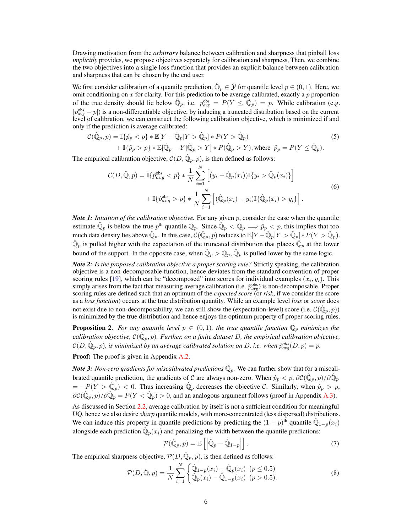Drawing motivation from the *arbitrary* balance between calibration and sharpness that pinball loss *implicitly* provides, we propose objectives separately for calibration and sharpness, Then, we combine the two objectives into a single loss function that provides an explicit balance between calibration and sharpness that can be chosen by the end user.

We first consider calibration of a quantile prediction,  $\hat{\mathbb{Q}}_p \in \mathcal{Y}$  for quantile level  $p \in (0, 1)$ . Here, we omit conditioning on  $x$  for clarity. For this prediction to be average calibrated, exactly a  $p$  proportion of the true density should lie below  $\hat{\mathbb{Q}}_p$ , i.e.  $p_{avg}^{obs} = P(Y \le \hat{\mathbb{Q}}_p) = p$ . While calibration (e.g. |p obs *avg* − p|) is a non-differentiable objective, by inducing a truncated distribution based on the current level of calibration, we can construct the following calibration objective, which is minimized if and only if the prediction is average calibrated:

$$
\mathcal{C}(\hat{\mathbb{Q}}_p, p) = \mathbb{I}\{\hat{p}_p < p\} * \mathbb{E}[Y - \hat{\mathbb{Q}}_p | Y > \hat{\mathbb{Q}}_p] * P(Y > \hat{\mathbb{Q}}_p) \\
+ \mathbb{I}\{\hat{p}_p > p\} * \mathbb{E}[\hat{\mathbb{Q}}_p - Y | \hat{\mathbb{Q}}_p > Y] * P(\hat{\mathbb{Q}}_p > Y), \text{where } \hat{p}_p = P(Y \le \hat{\mathbb{Q}}_p).
$$
\n
$$
(5)
$$

The empirical calibration objective,  $\mathcal{C}(D, \hat{\mathbb{Q}}_p, p)$ , is then defined as follows:

$$
\mathcal{C}(D, \hat{\mathbb{Q}}, p) = \mathbb{I}\{\hat{p}_{avg}^{obs} < p\} * \frac{1}{N} \sum_{i=1}^{N} \left[ (y_i - \hat{\mathbb{Q}}_p(x_i)) \mathbb{I}\{y_i > \hat{\mathbb{Q}}_p(x_i)\} \right] + \mathbb{I}\{\hat{p}_{avg}^{obs} > p\} * \frac{1}{N} \sum_{i=1}^{N} \left[ (\hat{\mathbb{Q}}_p(x_i) - y_i) \mathbb{I}\{\hat{\mathbb{Q}}_p(x_i) > y_i\} \right]. \tag{6}
$$

*Note 1: Intuition of the calibration objective.* For any given p, consider the case when the quantile estimate  $\hat{\mathbb{Q}}_p$  is below the true  $p^{\text{th}}$  quantile  $\mathbb{Q}_p$ . Since  $\hat{\mathbb{Q}}_p < \mathbb{Q}_p \implies \hat{p}_p < p$ , this implies that too much data density lies above  $\hat{\mathbb{Q}}_p$ . In this case,  $\mathcal{C}(\hat{\mathbb{Q}}_p, p)$  reduces to  $\mathbb{E}[Y - \hat{\mathbb{Q}}_p]Y > \hat{\mathbb{Q}}_p] * P(Y > \hat{\mathbb{Q}}_p)$ .  $\hat{\mathbb{Q}}_p$  is pulled higher with the expectation of the truncated distribution that places  $\hat{\mathbb{Q}}_p$  at the lower bound of the support. In the opposite case, when  $\hat{\mathbb{Q}}_p > \mathbb{Q}_p$ ,  $\hat{\mathbb{Q}}_p$  is pulled lower by the same logic.

*Note 2: Is the proposed calibration objective a proper scoring rule?* Strictly speaking, the calibration objective is a non-decomposable function, hence deviates from the standard convention of proper scoring rules [\[19\]](#page-11-13), which can be "decomposed" into scores for individual examples  $(x_i, y_i)$ . This simply arises from the fact that measuring average calibration (i.e.  $\hat{p}_{avg}^{obs}$ ) is non-decomposable. Proper scoring rules are defined such that an optimum of the *expected score* (or *risk*, if we consider the score as a *loss function*) occurs at the true distribution quantity. While an example level *loss* or *score* does not exist due to non-decomposability, we can still show the (expectation-level) score (i.e.  $\mathcal{C}(\hat{\mathbb{Q}}_p, p)$ ) is minimized by the true distribution and hence enjoys the optimum property of proper scoring rules.

**Proposition 2.** For any quantile level  $p \in (0,1)$ , the true quantile function  $\mathbb{Q}_p$  minimizes the  $c$ alibration objective,  $\mathcal{C}(\hat{\mathbb{Q}}_p, p)$ . Further, on a finite dataset  $D$ , the empirical calibration objective,  $\mathcal{C}(D,\hat{\mathbb{Q}}_p,p)$ , is minimized by an average calibrated solution on D, i.e. when  $\hat{p}_{avg}^{obs}(D,p)=p$ .

**Proof:** The proof is given in Appendix A.2.

*Note 3: Non-zero gradients for miscalibrated predictions*  $\hat{\mathbb{Q}}_p$ . We can further show that for a miscalibrated quantile prediction, the gradients of C are always non-zero. When  $\hat{p}_p < p$ ,  $\partial C(\hat{Q}_p, p)/\partial \hat{Q}_p$  $=-P(Y > \hat{Q}_p) < 0$ . Thus increasing  $\hat{Q}_p$  decreases the objective C. Similarly, when  $\hat{p}_p > p$ ,  $\partial C(\hat{\mathbb{Q}}_p, p)/\partial \hat{\mathbb{Q}}_p = P(Y < \hat{\mathbb{Q}}_p) > 0$ , and an analogous argument follows (proof in Appendix A.3). As discussed in Section [2.2,](#page-1-2) average calibration by itself is not a sufficient condition for meaningful UQ, hence we also desire *sharp* quantile models, with more-concentrated (less dispersed) distributions. We can induce this property in quantile predictions by predicting the  $(1-p)^{\text{th}}$  quantile  $\hat{\mathbb{Q}}_{1-p}(x_i)$ alongside each prediction  $\hat{\mathbb{Q}}_p(x_i)$  and penalizing the width between the quantile predictions:

$$
\mathcal{P}(\hat{\mathbb{Q}}_p, p) = \mathbb{E}\left[\left|\hat{\mathbb{Q}}_p - \hat{\mathbb{Q}}_{1-p}\right|\right].\tag{7}
$$

The empirical sharpness objective,  $\mathcal{P}(D,\hat{\mathbb{Q}}_p,p)$ , is then defined as follows:

$$
\mathcal{P}(D,\hat{\mathbb{Q}},p) = \frac{1}{N} \sum_{i=1}^{N} \begin{cases} \hat{\mathbb{Q}}_{1-p}(x_i) - \hat{\mathbb{Q}}_p(x_i) & (p \le 0.5) \\ \hat{\mathbb{Q}}_p(x_i) - \hat{\mathbb{Q}}_{1-p}(x_i) & (p > 0.5). \end{cases}
$$
(8)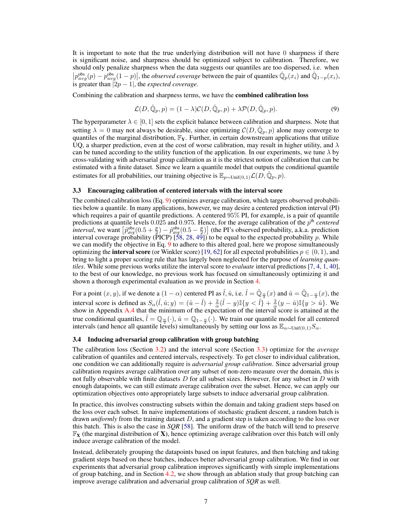It is important to note that the true underlying distribution will not have 0 sharpness if there is significant noise, and sharpness should be optimized subject to calibration. Therefore, we should only penalize sharpness when the data suggests our quantiles are too dispersed, i.e. when  $\left| p_{avg}^{obs}(p) - p_{avg}^{obs}(1-p) \right|$ , the *observed coverage* between the pair of quantiles  $\hat{\mathbb{Q}}_p(x_i)$  and  $\hat{\mathbb{Q}}_{1-p}(x_i)$ , is greater than  $|2p - 1|$ , the *expected coverage*.

Combining the calibration and sharpness terms, we have the combined calibration loss

<span id="page-6-2"></span>
$$
\mathcal{L}(D,\hat{\mathbb{Q}}_p,p) = (1-\lambda)\mathcal{C}(D,\hat{\mathbb{Q}}_p,p) + \lambda \mathcal{P}(D,\hat{\mathbb{Q}}_p,p). \tag{9}
$$

The hyperparameter  $\lambda \in [0, 1]$  sets the explicit balance between calibration and sharpness. Note that setting  $\lambda = 0$  may not always be desirable, since optimizing  $\mathcal{C}(D, \hat{\mathbb{Q}}_p, p)$  alone may converge to quantiles of the marginal distribution,  $\mathbb{F}_Y$ . Further, in certain downstream applications that utilize UQ, a sharper prediction, even at the cost of worse calibration, may result in higher utility, and  $\lambda$ can be tuned according to the utility function of the application. In our experiments, we tune  $\lambda$  by cross-validating with adversarial group calibration as it is the strictest notion of calibration that can be estimated with a finite dataset. Since we learn a quantile model that outputs the conditional quantile estimates for all probabilities, our training objective is  $\mathbb{E}_{p\sim \text{Unif}(0,1)} \mathcal{L}(D,\hat{\mathbb{Q}}_p, p)$ .

#### <span id="page-6-0"></span>3.3 Encouraging calibration of centered intervals with the interval score

The combined calibration loss (Eq. [9\)](#page-6-2) optimizes average calibration, which targets observed probabilities below a quantile. In many applications, however, we may desire a centered prediction interval (PI) which requires a pair of quantile predictions. A centered 95% PI, for example, is a pair of quantile predictions at quantile levels 0.025 and 0.975. Hence, for the average calibration of the p<sup>th</sup> centered *interval*, we want  $\left[ \hat{p}_{avg}^{\text{obs}}(0.5 + \frac{p}{2}) - \hat{p}_{avg}^{\text{obs}}(0.5 - \frac{p}{2}) \right]$  (the PI's observed probability, a.k.a. prediction interval coverage probability (PICP)  $[58, 28, 49]$  $[58, 28, 49]$  $[58, 28, 49]$  $[58, 28, 49]$  $[58, 28, 49]$  to be equal to the expected probability p. While we can modify the objective in Eq. [9](#page-6-2) to adhere to this altered goal, here we propose simultaneously optimizing the **interval score** (or Winkler score) [\[19,](#page-11-13) [62\]](#page-13-7) for all expected probabilities  $p \in (0, 1)$ , and bring to light a proper scoring rule that has largely been neglected for the purpose of *learning quantiles*. While some previous works utilize the interval score to *evaluate* interval predictions [\[7,](#page-10-8) [4,](#page-10-9) [1,](#page-10-10) [40\]](#page-12-13), to the best of our knowledge, no previous work has focused on simultaneously optimizing it and shown a thorough experimental evaluation as we provide in Section [4.](#page-7-0)

For a point  $(x, y)$ , if we denote a  $(1 - \alpha)$  centered PI as  $\hat{l}$ ,  $\hat{u}$ , i.e.  $\hat{l} = \hat{\mathbb{Q}}_{\frac{\alpha}{2}}(x)$  and  $\hat{u} = \hat{\mathbb{Q}}_{1-\frac{\alpha}{2}}(x)$ , the interval score is defined as  $S_{\alpha}(\hat{l}, \hat{u}; y) = (\hat{u} - \hat{l}) + \frac{2}{\alpha}(\hat{l} - y)\mathbb{I}\{y < \hat{l}\} + \frac{2}{\alpha}(y - \hat{u})\mathbb{I}\{y > \hat{u}\}$ . We show in Appendix A.4 that the minimum of the expectation of the interval score is attained at the true conditional quantiles,  $\hat{l} = \mathbb{Q}_{\frac{\alpha}{2}}(\cdot), \hat{u} = \mathbb{Q}_{1-\frac{\alpha}{2}}(\cdot)$ . We train our quantile model for all centered intervals (and hence all quantile levels) simultaneously by setting our loss as  $\mathbb{E}_{\alpha \sim \text{Unif}(0,1)} S_{\alpha}$ .

#### <span id="page-6-1"></span>3.4 Inducing adversarial group calibration with group batching

The calibration loss (Section [3.2\)](#page-4-0) and the interval score (Section [3.3\)](#page-6-0) optimize for the *average* calibration of quantiles and centered intervals, respectively. To get closer to individual calibration, one condition we can additionally require is *adversarial group calibration*. Since adversarial group calibration requires average calibration over any subset of non-zero measure over the domain, this is not fully observable with finite datasets D for all subset sizes. However, for any subset in D with enough datapoints, we can still estimate average calibration over the subset. Hence, we can apply our optimization objectives onto appropriately large subsets to induce adversarial group calibration.

In practice, this involves constructing subsets within the domain and taking gradient steps based on the loss over each subset. In naive implementations of stochastic gradient descent, a random batch is drawn *uniformly* from the training dataset D, and a gradient step is taken according to the loss over this batch. This is also the case in *SQR* [\[58\]](#page-13-3). The uniform draw of the batch will tend to preserve  $\mathbb{F}_X$  (the marginal distribution of X), hence optimizing average calibration over this batch will only induce average calibration of the model.

Instead, deliberately grouping the datapoints based on input features, and then batching and taking gradient steps based on these batches, induces better adversarial group calibration. We find in our experiments that adversarial group calibration improves significantly with simple implementations of group batching, and in Section [4.2,](#page-9-0) we show through an ablation study that group batching can improve average calibration and adversarial group calibration of *SQR* as well.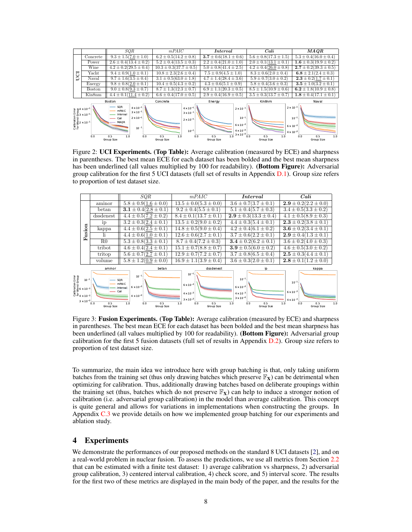

<span id="page-7-1"></span>Figure 2: UCI Experiments. (Top Table): Average calibration (measured by ECE) and sharpness in parentheses. The best mean ECE for each dataset has been bolded and the best mean sharpness has been underlined (all values multiplied by 100 for readability). (**Bottom Figure**): Adversarial group calibration for the first 5 UCI datasets (full set of results in Appendix D.1). Group size refers to proportion of test dataset size.



<span id="page-7-2"></span>Figure 3: **Fusion Experiments. (Top Table):** Average calibration (measured by ECE) and sharpness in parentheses. The best mean ECE for each dataset has been bolded and the best mean sharpness has been underlined (all values multiplied by 100 for readability). (Bottom Figure): Adversarial group calibration for the first 5 fusion datasets (full set of results in Appendix D.2). Group size refers to proportion of test dataset size.

To summarize, the main idea we introduce here with group batching is that, only taking uniform batches from the training set (thus only drawing batches which preserve  $\mathbb{F}_{\mathbf{X}}$ ) can be detrimental when optimizing for calibration. Thus, additionally drawing batches based on deliberate groupings within the training set (thus, batches which do not preserve  $\mathbb{F}_X$ ) can help to induce a stronger notion of calibration (i.e. adversarial group calibration) in the model than average calibration. This concept is quite general and allows for variations in implementations when constructing the groups. In Appendix C.3 we provide details on how we implemented group batching for our experiments and ablation study.

# <span id="page-7-0"></span>4 Experiments

We demonstrate the performances of our proposed methods on the standard 8 UCI datasets [\[2\]](#page-10-11), and on a real-world problem in nuclear fusion. To assess the predictions, we use all metrics from Section [2.2](#page-1-2) that can be estimated with a finite test dataset: 1) average calibration vs sharpness, 2) adversarial group calibration, 3) centered interval calibration, 4) check score, and 5) interval score. The results for the first two of these metrics are displayed in the main body of the paper, and the results for the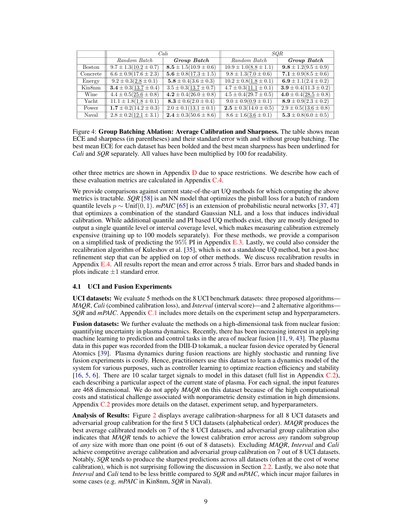|               | Cali                        |                             | SQR                         |                             |
|---------------|-----------------------------|-----------------------------|-----------------------------|-----------------------------|
|               | Random Batch                | Group Batch                 | Random Batch                | Group Batch                 |
| <b>Boston</b> | $9.7 \pm 1.3(10.2 \pm 0.7)$ | $8.5 \pm 1.5(10.9 \pm 0.6)$ | $10.9 \pm 1.0(8.8 \pm 1.1)$ | $9.8 \pm 1.2(9.5 \pm 0.9)$  |
| Concrete      | $6.6 \pm 0.9(17.6 \pm 2.3)$ | $5.6 \pm 0.8(17.3 \pm 1.5)$ | $9.8 \pm 1.3(7.0 \pm 0.6)$  | $7.1 \pm 0.9(8.5 \pm 0.6)$  |
| Energy        | $9.2 \pm 0.3(2.8 \pm 0.1)$  | $5.8 \pm 0.4(3.6 \pm 0.3)$  | $10.2 \pm 0.8(1.8 \pm 0.1)$ | $6.9 \pm 1.1(2.4 \pm 0.2)$  |
| Kin8nm        | $3.4 \pm 0.3(13.7 \pm 0.4)$ | $3.5 \pm 0.3(13.7 \pm 0.7)$ | $4.7 \pm 0.3(11.1 \pm 0.1)$ | $3.9 \pm 0.4(11.3 \pm 0.2)$ |
| Wine          | $4.4 \pm 0.5(25.6 \pm 0.8)$ | $4.2 \pm 0.4(26.0 \pm 0.8)$ | $4.5 \pm 0.4(29.7 \pm 0.5)$ | $4.0 \pm 0.4(28.5 \pm 0.8)$ |
| Yacht         | $11.1 \pm 1.8(1.8 \pm 0.1)$ | $8.3 \pm 0.6(2.0 \pm 0.4)$  | $9.0 \pm 0.9(0.9 \pm 0.1)$  | $8.9 \pm 0.9(2.3 \pm 0.2)$  |
| Power         | $1.7 \pm 0.2(14.2 \pm 0.3)$ | $2.0 \pm 0.1(13.1 \pm 0.1)$ | $2.5 \pm 0.3(14.0 \pm 0.5)$ | $2.9 \pm 0.5(13.6 \pm 0.8)$ |
| Naval         | $2.8 \pm 0.2(12.1 \pm 3.1)$ | $2.4 \pm 0.3(50.6 \pm 8.6)$ | $8.6 \pm 1.6(3.6 \pm 0.1)$  | $5.3 \pm 0.8(6.0 \pm 0.5)$  |

<span id="page-8-0"></span>Figure 4: Group Batching Ablation: Average Calibration and Sharpness. The table shows mean ECE and sharpness (in parentheses) and their standard error with and without group batching. The best mean ECE for each dataset has been bolded and the best mean sharpness has been underlined for *Cali* and *SQR* separately. All values have been multiplied by 100 for readability.

other three metrics are shown in Appendix  $D$  due to space restrictions. We describe how each of these evaluation metrics are calculated in Appendix C.4.

We provide comparisons against current state-of-the-art UQ methods for which computing the above metrics is tractable. *SQR* [\[58\]](#page-13-3) is an NN model that optimizes the pinball loss for a batch of random quantile levels *p* ∼ Unif(0, 1). *mPAIC* [\[65\]](#page-13-2) is an extension of probabilistic neural networks [\[37,](#page-11-1) [47\]](#page-12-14) that optimizes a combination of the standard Gaussian NLL and a loss that induces individual calibration. While additional quantile and PI based UQ methods exist, they are mostly designed to output a single quantile level or interval coverage level, which makes measuring calibration extremely expensive (training up to 100 models separately). For these methods, we provide a comparison on a simplified task of predicting the  $95\%$  PI in Appendix E.3. Lastly, we could also consider the recalibration algorithm of Kuleshov et al. [\[35\]](#page-11-8), which is not a standalone UQ method, but a post-hoc refinement step that can be applied on top of other methods. We discuss recalibration results in Appendix E.4. All results report the mean and error across 5 trials. Error bars and shaded bands in plots indicate  $\pm 1$  standard error.

#### 4.1 UCI and Fusion Experiments

UCI datasets: We evaluate 5 methods on the 8 UCI benchmark datasets: three proposed algorithms— *MAQR*, *Cali* (combined calibration loss), and *Interval* (interval score)—and 2 alternative algorithms— *SQR* and *mPAIC*. Appendix C.1 includes more details on the experiment setup and hyperparameters.

Fusion datasets: We further evaluate the methods on a high-dimensional task from nuclear fusion: quantifying uncertainty in plasma dynamics. Recently, there has been increasing interest in applying machine learning to prediction and control tasks in the area of nuclear fusion [\[11,](#page-10-12) [9,](#page-10-13) [43\]](#page-12-15). The plasma data in this paper was recorded from the DIII-D tokamak, a nuclear fusion device operated by General Atomics [\[39\]](#page-12-16). Plasma dynamics during fusion reactions are highly stochastic and running live fusion experiments is costly. Hence, practitioners use this dataset to learn a dynamics model of the system for various purposes, such as controller learning to optimize reaction efficiency and stability [\[16,](#page-10-14) [5,](#page-10-15) [6\]](#page-10-16). There are 10 scalar target signals to model in this dataset (full list in Appendix C.2), each describing a particular aspect of the current state of plasma. For each signal, the input features are 468 dimensional. We do not apply *MAQR* on this dataset because of the high computational costs and statistical challenge associated with nonparametric density estimation in high dimensions. Appendix C.2 provides more details on the dataset, experiment setup, and hyperparameters.

Analysis of Results: Figure [2](#page-7-1) displays average calibration-sharpness for all 8 UCI datasets and adversarial group calibration for the first 5 UCI datasets (alphabetical order). *MAQR* produces the best average calibrated models on 7 of the 8 UCI datasets, and adversarial group calibration also indicates that *MAQR* tends to achieve the lowest calibration error across *any* random subgroup of *any* size with more than one point (6 out of 8 datasets). Excluding *MAQR*, *Interval* and *Cali* achieve competitive average calibration and adversarial group calibration on 7 out of 8 UCI datasets. Notably, *SQR* tends to produce the sharpest predictions across all datasets (often at the cost of worse calibration), which is not surprising following the discussion in Section [2.2.](#page-1-2) Lastly, we also note that *Interval* and *Cali* tend to be less brittle compared to *SQR* and *mPAIC*, which incur major failures in some cases (e.g. *mPAIC* in Kin8nm, *SQR* in Naval).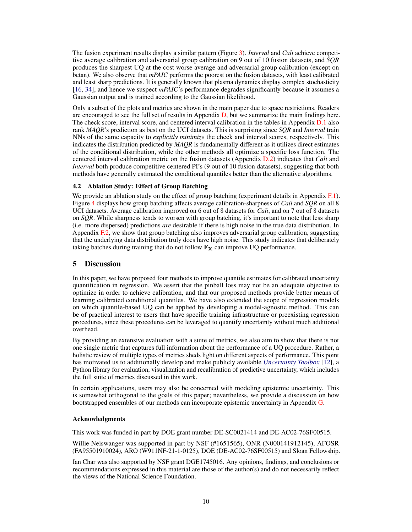The fusion experiment results display a similar pattern (Figure [3\)](#page-7-2). *Interval* and *Cali* achieve competitive average calibration and adversarial group calibration on 9 out of 10 fusion datasets, and *SQR* produces the sharpest UQ at the cost worse average and adversarial group calibration (except on betan). We also observe that *mPAIC* performs the poorest on the fusion datasets, with least calibrated and least sharp predictions. It is generally known that plasma dynamics display complex stochasticity [\[16,](#page-10-14) [34\]](#page-11-18), and hence we suspect *mPAIC*'s performance degrades significantly because it assumes a Gaussian output and is trained according to the Gaussian likelihood.

Only a subset of the plots and metrics are shown in the main paper due to space restrictions. Readers are encouraged to see the full set of results in Appendix  $D$ , but we summarize the main findings here. The check score, interval score, and centered interval calibration in the tables in Appendix D.1 also rank *MAQR*'s prediction as best on the UCI datasets. This is surprising since *SQR* and *Interval* train NNs of the same capacity to *explicitly minimize* the check and interval scores, respectively. This indicates the distribution predicted by *MAQR* is fundamentally different as it utilizes direct estimates of the conditional distribution, while the other methods all optimize a specific loss function. The centered interval calibration metric on the fusion datasets (Appendix D.2) indicates that *Cali* and *Interval* both produce competitive centered PI's (9 out of 10 fusion datasets), suggesting that both methods have generally estimated the conditional quantiles better than the alternative algorithms.

## <span id="page-9-0"></span>4.2 Ablation Study: Effect of Group Batching

We provide an ablation study on the effect of group batching (experiment details in Appendix F.1). Figure [4](#page-8-0) displays how group batching affects average calibration-sharpness of *Cali* and *SQR* on all 8 UCI datasets. Average calibration improved on 6 out of 8 datasets for *Cali*, and on 7 out of 8 datasets on *SQR*. While sharpness tends to worsen with group batching, it's important to note that less sharp (i.e. more dispersed) predictions *are* desirable if there is high noise in the true data distribution. In Appendix F.2, we show that group batching also improves adversarial group calibration, suggesting that the underlying data distribution truly does have high noise. This study indicates that deliberately taking batches during training that do not follow  $\mathbb{F}_{\mathbf{X}}$  can improve UQ performance.

# 5 Discussion

In this paper, we have proposed four methods to improve quantile estimates for calibrated uncertainty quantification in regression. We assert that the pinball loss may not be an adequate objective to optimize in order to achieve calibration, and that our proposed methods provide better means of learning calibrated conditional quantiles. We have also extended the scope of regression models on which quantile-based UQ can be applied by developing a model-agnostic method. This can be of practical interest to users that have specific training infrastructure or preexisting regression procedures, since these procedures can be leveraged to quantify uncertainty without much additional overhead.

By providing an extensive evaluation with a suite of metrics, we also aim to show that there is not one single metric that captures full information about the performance of a UQ procedure. Rather, a holistic review of multiple types of metrics sheds light on different aspects of performance. This point has motivated us to additionally develop and make publicly available *[Uncertainty Toolbox](https://github.com/uncertainty-toolbox/uncertainty-toolbox)* [\[12\]](#page-10-17), a Python library for evaluation, visualization and recalibration of predictive uncertainty, which includes the full suite of metrics discussed in this work.

In certain applications, users may also be concerned with modeling epistemic uncertainty. This is somewhat orthogonal to the goals of this paper; nevertheless, we provide a discussion on how bootstrapped ensembles of our methods can incorporate epistemic uncertainty in Appendix G.

### Acknowledgments

This work was funded in part by DOE grant number DE-SC0021414 and DE-AC02-76SF00515.

Willie Neiswanger was supported in part by NSF (#1651565), ONR (N000141912145), AFOSR (FA95501910024), ARO (W911NF-21-1-0125), DOE (DE-AC02-76SF00515) and Sloan Fellowship.

Ian Char was also supported by NSF grant DGE1745016. Any opinions, findings, and conclusions or recommendations expressed in this material are those of the author(s) and do not necessarily reflect the views of the National Science Foundation.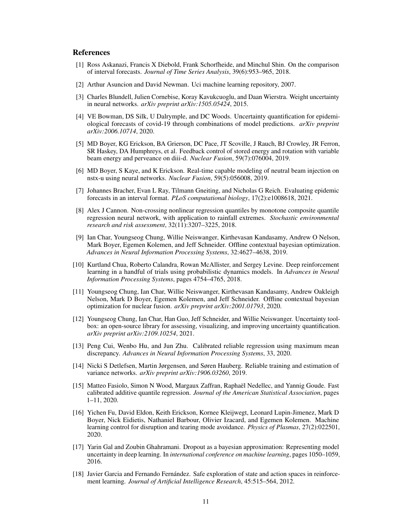## References

- <span id="page-10-10"></span>[1] Ross Askanazi, Francis X Diebold, Frank Schorfheide, and Minchul Shin. On the comparison of interval forecasts. *Journal of Time Series Analysis*, 39(6):953–965, 2018.
- <span id="page-10-11"></span>[2] Arthur Asuncion and David Newman. Uci machine learning repository, 2007.
- <span id="page-10-3"></span>[3] Charles Blundell, Julien Cornebise, Koray Kavukcuoglu, and Daan Wierstra. Weight uncertainty in neural networks. *arXiv preprint arXiv:1505.05424*, 2015.
- <span id="page-10-9"></span>[4] VE Bowman, DS Silk, U Dalrymple, and DC Woods. Uncertainty quantification for epidemiological forecasts of covid-19 through combinations of model predictions. *arXiv preprint arXiv:2006.10714*, 2020.
- <span id="page-10-15"></span>[5] MD Boyer, KG Erickson, BA Grierson, DC Pace, JT Scoville, J Rauch, BJ Crowley, JR Ferron, SR Haskey, DA Humphreys, et al. Feedback control of stored energy and rotation with variable beam energy and perveance on diii-d. *Nuclear Fusion*, 59(7):076004, 2019.
- <span id="page-10-16"></span>[6] MD Boyer, S Kaye, and K Erickson. Real-time capable modeling of neutral beam injection on nstx-u using neural networks. *Nuclear Fusion*, 59(5):056008, 2019.
- <span id="page-10-8"></span>[7] Johannes Bracher, Evan L Ray, Tilmann Gneiting, and Nicholas G Reich. Evaluating epidemic forecasts in an interval format. *PLoS computational biology*, 17(2):e1008618, 2021.
- <span id="page-10-6"></span>[8] Alex J Cannon. Non-crossing nonlinear regression quantiles by monotone composite quantile regression neural network, with application to rainfall extremes. *Stochastic environmental research and risk assessment*, 32(11):3207–3225, 2018.
- <span id="page-10-13"></span>[9] Ian Char, Youngseog Chung, Willie Neiswanger, Kirthevasan Kandasamy, Andrew O Nelson, Mark Boyer, Egemen Kolemen, and Jeff Schneider. Offline contextual bayesian optimization. *Advances in Neural Information Processing Systems*, 32:4627–4638, 2019.
- <span id="page-10-0"></span>[10] Kurtland Chua, Roberto Calandra, Rowan McAllister, and Sergey Levine. Deep reinforcement learning in a handful of trials using probabilistic dynamics models. In *Advances in Neural Information Processing Systems*, pages 4754–4765, 2018.
- <span id="page-10-12"></span>[11] Youngseog Chung, Ian Char, Willie Neiswanger, Kirthevasan Kandasamy, Andrew Oakleigh Nelson, Mark D Boyer, Egemen Kolemen, and Jeff Schneider. Offline contextual bayesian optimization for nuclear fusion. *arXiv preprint arXiv:2001.01793*, 2020.
- <span id="page-10-17"></span>[12] Youngseog Chung, Ian Char, Han Guo, Jeff Schneider, and Willie Neiswanger. Uncertainty toolbox: an open-source library for assessing, visualizing, and improving uncertainty quantification. *arXiv preprint arXiv:2109.10254*, 2021.
- <span id="page-10-5"></span>[13] Peng Cui, Wenbo Hu, and Jun Zhu. Calibrated reliable regression using maximum mean discrepancy. *Advances in Neural Information Processing Systems*, 33, 2020.
- <span id="page-10-2"></span>[14] Nicki S Detlefsen, Martin Jørgensen, and Søren Hauberg. Reliable training and estimation of variance networks. *arXiv preprint arXiv:1906.03260*, 2019.
- <span id="page-10-4"></span>[15] Matteo Fasiolo, Simon N Wood, Margaux Zaffran, Raphaël Nedellec, and Yannig Goude. Fast calibrated additive quantile regression. *Journal of the American Statistical Association*, pages 1–11, 2020.
- <span id="page-10-14"></span>[16] Yichen Fu, David Eldon, Keith Erickson, Kornee Kleijwegt, Leonard Lupin-Jimenez, Mark D Boyer, Nick Eidietis, Nathaniel Barbour, Olivier Izacard, and Egemen Kolemen. Machine learning control for disruption and tearing mode avoidance. *Physics of Plasmas*, 27(2):022501, 2020.
- <span id="page-10-7"></span>[17] Yarin Gal and Zoubin Ghahramani. Dropout as a bayesian approximation: Representing model uncertainty in deep learning. In *international conference on machine learning*, pages 1050–1059, 2016.
- <span id="page-10-1"></span>[18] Javier Garcia and Fernando Fernández. Safe exploration of state and action spaces in reinforcement learning. *Journal of Artificial Intelligence Research*, 45:515–564, 2012.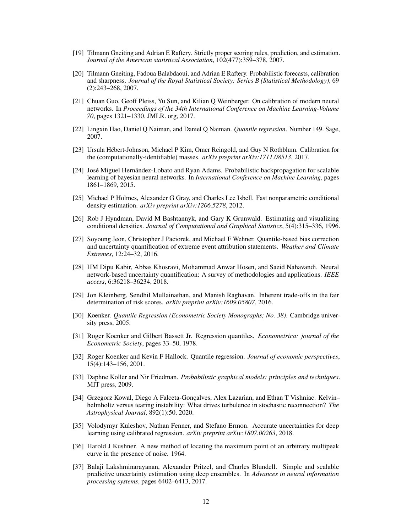- <span id="page-11-13"></span>[19] Tilmann Gneiting and Adrian E Raftery. Strictly proper scoring rules, prediction, and estimation. *Journal of the American statistical Association*, 102(477):359–378, 2007.
- <span id="page-11-10"></span>[20] Tilmann Gneiting, Fadoua Balabdaoui, and Adrian E Raftery. Probabilistic forecasts, calibration and sharpness. *Journal of the Royal Statistical Society: Series B (Statistical Methodology)*, 69 (2):243–268, 2007.
- <span id="page-11-9"></span>[21] Chuan Guo, Geoff Pleiss, Yu Sun, and Kilian Q Weinberger. On calibration of modern neural networks. In *Proceedings of the 34th International Conference on Machine Learning-Volume 70*, pages 1321–1330. JMLR. org, 2017.
- <span id="page-11-5"></span>[22] Lingxin Hao, Daniel Q Naiman, and Daniel Q Naiman. *Quantile regression*. Number 149. Sage, 2007.
- <span id="page-11-11"></span>[23] Ursula Hébert-Johnson, Michael P Kim, Omer Reingold, and Guy N Rothblum. Calibration for the (computationally-identifiable) masses. *arXiv preprint arXiv:1711.08513*, 2017.
- <span id="page-11-2"></span>[24] José Miguel Hernández-Lobato and Ryan Adams. Probabilistic backpropagation for scalable learning of bayesian neural networks. In *International Conference on Machine Learning*, pages 1861–1869, 2015.
- <span id="page-11-16"></span>[25] Michael P Holmes, Alexander G Gray, and Charles Lee Isbell. Fast nonparametric conditional density estimation. *arXiv preprint arXiv:1206.5278*, 2012.
- <span id="page-11-15"></span>[26] Rob J Hyndman, David M Bashtannyk, and Gary K Grunwald. Estimating and visualizing conditional densities. *Journal of Computational and Graphical Statistics*, 5(4):315–336, 1996.
- <span id="page-11-4"></span>[27] Soyoung Jeon, Christopher J Paciorek, and Michael F Wehner. Quantile-based bias correction and uncertainty quantification of extreme event attribution statements. *Weather and Climate Extremes*, 12:24–32, 2016.
- <span id="page-11-17"></span>[28] HM Dipu Kabir, Abbas Khosravi, Mohammad Anwar Hosen, and Saeid Nahavandi. Neural network-based uncertainty quantification: A survey of methodologies and applications. *IEEE access*, 6:36218–36234, 2018.
- <span id="page-11-12"></span>[29] Jon Kleinberg, Sendhil Mullainathan, and Manish Raghavan. Inherent trade-offs in the fair determination of risk scores. *arXiv preprint arXiv:1609.05807*, 2016.
- <span id="page-11-7"></span>[30] Koenker. *Quantile Regression (Econometric Society Monographs; No. 38)*. Cambridge university press, 2005.
- <span id="page-11-14"></span>[31] Roger Koenker and Gilbert Bassett Jr. Regression quantiles. *Econometrica: journal of the Econometric Society*, pages 33–50, 1978.
- <span id="page-11-6"></span>[32] Roger Koenker and Kevin F Hallock. Quantile regression. *Journal of economic perspectives*, 15(4):143–156, 2001.
- <span id="page-11-3"></span>[33] Daphne Koller and Nir Friedman. *Probabilistic graphical models: principles and techniques*. MIT press, 2009.
- <span id="page-11-18"></span>[34] Grzegorz Kowal, Diego A Falceta-Gonçalves, Alex Lazarian, and Ethan T Vishniac. Kelvin– helmholtz versus tearing instability: What drives turbulence in stochastic reconnection? *The Astrophysical Journal*, 892(1):50, 2020.
- <span id="page-11-8"></span>[35] Volodymyr Kuleshov, Nathan Fenner, and Stefano Ermon. Accurate uncertainties for deep learning using calibrated regression. *arXiv preprint arXiv:1807.00263*, 2018.
- <span id="page-11-0"></span>[36] Harold J Kushner. A new method of locating the maximum point of an arbitrary multipeak curve in the presence of noise. 1964.
- <span id="page-11-1"></span>[37] Balaji Lakshminarayanan, Alexander Pritzel, and Charles Blundell. Simple and scalable predictive uncertainty estimation using deep ensembles. In *Advances in neural information processing systems*, pages 6402–6413, 2017.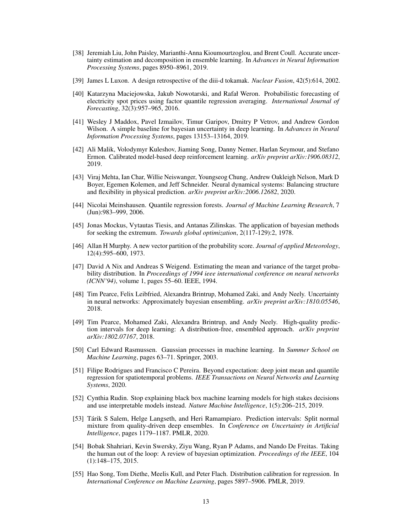- <span id="page-12-5"></span>[38] Jeremiah Liu, John Paisley, Marianthi-Anna Kioumourtzoglou, and Brent Coull. Accurate uncertainty estimation and decomposition in ensemble learning. In *Advances in Neural Information Processing Systems*, pages 8950–8961, 2019.
- <span id="page-12-16"></span>[39] James L Luxon. A design retrospective of the diii-d tokamak. *Nuclear Fusion*, 42(5):614, 2002.
- <span id="page-12-13"></span>[40] Katarzyna Maciejowska, Jakub Nowotarski, and Rafał Weron. Probabilistic forecasting of electricity spot prices using factor quantile regression averaging. *International Journal of Forecasting*, 32(3):957–965, 2016.
- <span id="page-12-4"></span>[41] Wesley J Maddox, Pavel Izmailov, Timur Garipov, Dmitry P Vetrov, and Andrew Gordon Wilson. A simple baseline for bayesian uncertainty in deep learning. In *Advances in Neural Information Processing Systems*, pages 13153–13164, 2019.
- <span id="page-12-2"></span>[42] Ali Malik, Volodymyr Kuleshov, Jiaming Song, Danny Nemer, Harlan Seymour, and Stefano Ermon. Calibrated model-based deep reinforcement learning. *arXiv preprint arXiv:1906.08312*, 2019.
- <span id="page-12-15"></span>[43] Viraj Mehta, Ian Char, Willie Neiswanger, Youngseog Chung, Andrew Oakleigh Nelson, Mark D Boyer, Egemen Kolemen, and Jeff Schneider. Neural dynamical systems: Balancing structure and flexibility in physical prediction. *arXiv preprint arXiv:2006.12682*, 2020.
- [44] Nicolai Meinshausen. Quantile regression forests. *Journal of Machine Learning Research*, 7 (Jun):983–999, 2006.
- <span id="page-12-0"></span>[45] Jonas Mockus, Vytautas Tiesis, and Antanas Zilinskas. The application of bayesian methods for seeking the extremum. *Towards global optimization*, 2(117-129):2, 1978.
- <span id="page-12-11"></span>[46] Allan H Murphy. A new vector partition of the probability score. *Journal of applied Meteorology*, 12(4):595–600, 1973.
- <span id="page-12-14"></span>[47] David A Nix and Andreas S Weigend. Estimating the mean and variance of the target probability distribution. In *Proceedings of 1994 ieee international conference on neural networks (ICNN'94)*, volume 1, pages 55–60. IEEE, 1994.
- <span id="page-12-12"></span>[48] Tim Pearce, Felix Leibfried, Alexandra Brintrup, Mohamed Zaki, and Andy Neely. Uncertainty in neural networks: Approximately bayesian ensembling. *arXiv preprint arXiv:1810.05546*, 2018.
- <span id="page-12-8"></span>[49] Tim Pearce, Mohamed Zaki, Alexandra Brintrup, and Andy Neely. High-quality prediction intervals for deep learning: A distribution-free, ensembled approach. *arXiv preprint arXiv:1802.07167*, 2018.
- <span id="page-12-6"></span>[50] Carl Edward Rasmussen. Gaussian processes in machine learning. In *Summer School on Machine Learning*, pages 63–71. Springer, 2003.
- <span id="page-12-9"></span>[51] Filipe Rodrigues and Francisco C Pereira. Beyond expectation: deep joint mean and quantile regression for spatiotemporal problems. *IEEE Transactions on Neural Networks and Learning Systems*, 2020.
- <span id="page-12-3"></span>[52] Cynthia Rudin. Stop explaining black box machine learning models for high stakes decisions and use interpretable models instead. *Nature Machine Intelligence*, 1(5):206–215, 2019.
- <span id="page-12-7"></span>[53] Tárik S Salem, Helge Langseth, and Heri Ramampiaro. Prediction intervals: Split normal mixture from quality-driven deep ensembles. In *Conference on Uncertainty in Artificial Intelligence*, pages 1179–1187. PMLR, 2020.
- <span id="page-12-1"></span>[54] Bobak Shahriari, Kevin Swersky, Ziyu Wang, Ryan P Adams, and Nando De Freitas. Taking the human out of the loop: A review of bayesian optimization. *Proceedings of the IEEE*, 104 (1):148–175, 2015.
- <span id="page-12-10"></span>[55] Hao Song, Tom Diethe, Meelis Kull, and Peter Flach. Distribution calibration for regression. In *International Conference on Machine Learning*, pages 5897–5906. PMLR, 2019.